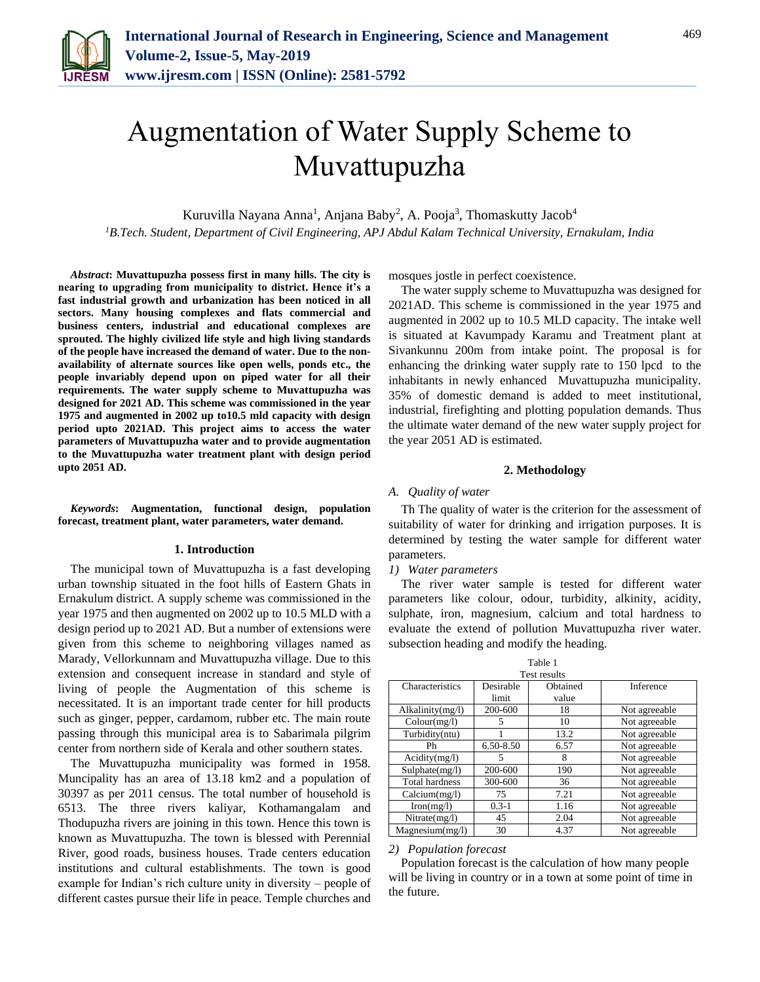

# Augmentation of Water Supply Scheme to Muvattupuzha

Kuruvilla Nayana Anna<sup>1</sup>, Anjana Baby<sup>2</sup>, A. Pooja<sup>3</sup>, Thomaskutty Jacob<sup>4</sup> *<sup>1</sup>B.Tech. Student, Department of Civil Engineering, APJ Abdul Kalam Technical University, Ernakulam, India*

*Abstract***: Muvattupuzha possess first in many hills. The city is nearing to upgrading from municipality to district. Hence it's a fast industrial growth and urbanization has been noticed in all sectors. Many housing complexes and flats commercial and business centers, industrial and educational complexes are sprouted. The highly civilized life style and high living standards of the people have increased the demand of water. Due to the nonavailability of alternate sources like open wells, ponds etc., the people invariably depend upon on piped water for all their requirements. The water supply scheme to Muvattupuzha was designed for 2021 AD. This scheme was commissioned in the year 1975 and augmented in 2002 up to10.5 mld capacity with design period upto 2021AD. This project aims to access the water parameters of Muvattupuzha water and to provide augmentation to the Muvattupuzha water treatment plant with design period upto 2051 AD.**

*Keywords***: Augmentation, functional design, population forecast, treatment plant, water parameters, water demand.**

#### **1. Introduction**

The municipal town of Muvattupuzha is a fast developing urban township situated in the foot hills of Eastern Ghats in Ernakulum district. A supply scheme was commissioned in the year 1975 and then augmented on 2002 up to 10.5 MLD with a design period up to 2021 AD. But a number of extensions were given from this scheme to neighboring villages named as Marady, Vellorkunnam and Muvattupuzha village. Due to this extension and consequent increase in standard and style of living of people the Augmentation of this scheme is necessitated. It is an important trade center for hill products such as ginger, pepper, cardamom, rubber etc. The main route passing through this municipal area is to Sabarimala pilgrim center from northern side of Kerala and other southern states.

The Muvattupuzha municipality was formed in 1958. Muncipality has an area of 13.18 km2 and a population of 30397 as per 2011 census. The total number of household is 6513. The three rivers kaliyar, Kothamangalam and Thodupuzha rivers are joining in this town. Hence this town is known as Muvattupuzha. The town is blessed with Perennial River, good roads, business houses. Trade centers education institutions and cultural establishments. The town is good example for Indian's rich culture unity in diversity – people of different castes pursue their life in peace. Temple churches and mosques jostle in perfect coexistence.

The water supply scheme to Muvattupuzha was designed for 2021AD. This scheme is commissioned in the year 1975 and augmented in 2002 up to 10.5 MLD capacity. The intake well is situated at Kavumpady Karamu and Treatment plant at Sivankunnu 200m from intake point. The proposal is for enhancing the drinking water supply rate to 150 lpcd to the inhabitants in newly enhanced Muvattupuzha municipality. 35% of domestic demand is added to meet institutional, industrial, firefighting and plotting population demands. Thus the ultimate water demand of the new water supply project for the year 2051 AD is estimated.

#### **2. Methodology**

#### *A. Quality of water*

Th The quality of water is the criterion for the assessment of suitability of water for drinking and irrigation purposes. It is determined by testing the water sample for different water parameters.

*1) Water parameters*

The river water sample is tested for different water parameters like colour, odour, turbidity, alkinity, acidity, sulphate, iron, magnesium, calcium and total hardness to evaluate the extend of pollution Muvattupuzha river water. subsection heading and modify the heading.

Table 1

| 1.411 D.V             |           |          |               |
|-----------------------|-----------|----------|---------------|
| <b>Test results</b>   |           |          |               |
| Characteristics       | Desirable | Obtained | Inference     |
|                       | limit     | value    |               |
| Alkalinity(mg/l)      | 200-600   | 18       | Not agreeable |
| Colour(mg/l)          | 5         | 10       | Not agreeable |
| Turbidity(ntu)        |           | 13.2     | Not agreeable |
| Ph                    | 6.50-8.50 | 6.57     | Not agreeable |
| Acidity(mg/l)         | 5         | 8        | Not agreeable |
| Sulphate(mg/l)        | 200-600   | 190      | Not agreeable |
| <b>Total hardness</b> | 300-600   | 36       | Not agreeable |
| Calcium(mg/l)         | 75        | 7.21     | Not agreeable |
| Iron(mg/l)            | $0.3 - 1$ | 1.16     | Not agreeable |
| Nitrate(mg/l)         | 45        | 2.04     | Not agreeable |
| Magnesium(mg/l)       | 30        | 4.37     | Not agreeable |

#### *2) Population forecast*

 Population forecast is the calculation of how many people will be living in country or in a town at some point of time in the future.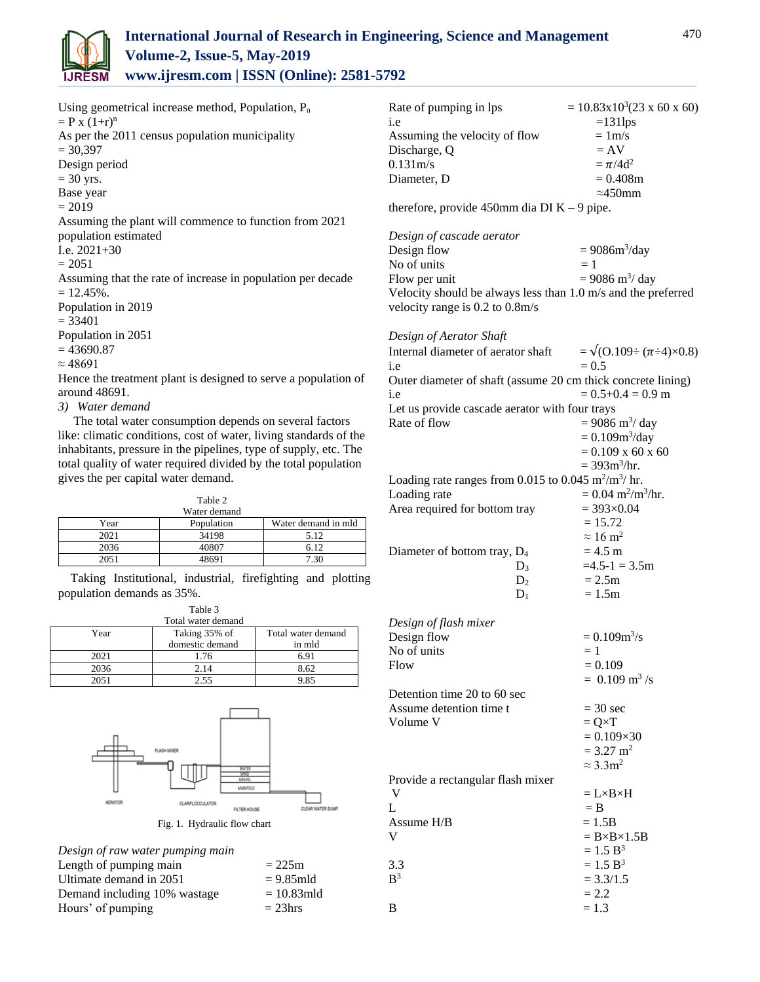

Using geometrical increase method, Population, P<sub>n</sub>  $=$  P x  $(1+r)^n$ As per the 2011 census population municipality  $= 30,397$ Design period  $= 30$  yrs. Base year  $= 2019$ Assuming the plant will commence to function from 2021 population estimated I.e. 2021+30  $= 2051$ Assuming that the rate of increase in population per decade  $= 12.45\%$ . Population in 2019  $= 33401$ Population in 2051  $= 43690.87$  $\approx 48691$ 

Hence the treatment plant is designed to serve a population of around 48691.

*3) Water demand*

 The total water consumption depends on several factors like: climatic conditions, cost of water, living standards of the inhabitants, pressure in the pipelines, type of supply, etc. The total quality of water required divided by the total population gives the per capital water demand.

| anie |  |
|------|--|
|      |  |

|      | Water demand |                     |
|------|--------------|---------------------|
| Year | Population   | Water demand in mld |
| 2021 | 34198        | 5.12                |
| 2036 | 40807        | 6.12                |
| 2051 | 18691        | 730                 |

Taking Institutional, industrial, firefighting and plotting population demands as 35%.

|                    | Table 3         |                    |  |
|--------------------|-----------------|--------------------|--|
| Total water demand |                 |                    |  |
| Year               | Taking 35% of   | Total water demand |  |
|                    | domestic demand | in mld             |  |
| 2021               | 1.76            | 6.91               |  |
| 2036               | 2.14            | 8.62               |  |
| 2051               | 2.55            | 9.85               |  |



Fig. 1. Hydraulic flow chart

| Design of raw water pumping main |               |
|----------------------------------|---------------|
| Length of pumping main           | $= 225m$      |
| Ultimate demand in 2051          | $= 9.85$ mld  |
| Demand including 10% wastage     | $= 10.83$ mld |
| Hours' of pumping                | $= 23$ hrs    |

| Rate of pumping in lps        | $= 10.83 \times 10^3 (23 \times 60 \times 60)$ |
|-------------------------------|------------------------------------------------|
| <i>i.e</i>                    | $=131$ lps                                     |
| Assuming the velocity of flow | $= 1m/s$                                       |
| Discharge, Q                  | $= AV$                                         |
| $0.131 \text{m/s}$            | $=\pi/4d^2$                                    |
| Diameter, D.                  | $= 0.408$ m                                    |
|                               | $\approx 450$ mm                               |

therefore, provide 450mm dia DI  $K - 9$  pipe.

*Design of cascade aerator* Design flow  $= 9086m^3$ /day No of units  $= 1$ Flow per unit  $= 9086 \text{ m}^3/\text{day}$ Velocity should be always less than 1.0 m/s and the preferred velocity range is 0.2 to 0.8m/s

*Design of Aerator Shaft* Internal diameter of aerator shaft =  $\sqrt{(0.109 \div (\pi \div 4) \times 0.8)}$ i.e  $= 0.5$ Outer diameter of shaft (assume 20 cm thick concrete lining) i.e  $= 0.5 + 0.4 = 0.9$  m Let us provide cascade aerator with four trays Rate of flow  $= 9086 \text{ m}^3/\text{day}$  $= 0.109 m^{3}/day$  $= 0.109$  x 60 x 60  $= 393 \text{m}^3/\text{hr}$ . Loading rate ranges from  $0.015$  to  $0.045$  m<sup>2</sup>/m<sup>3</sup>/ hr. Loading rate  $/m<sup>3</sup>/hr.$ Area required for bottom tray  $= 393 \times 0.04$  $= 15.72$  $\approx 16$  m<sup>2</sup> Diameter of bottom tray,  $D_4$  = 4.5 m D<sub>3</sub>  $=4.5-1 = 3.5$ m  $D_2 = 2.5m$  $D_1 = 1.5m$ 

| $= 0.109 m^3/s$             |
|-----------------------------|
| $=1$                        |
| $= 0.109$                   |
| $= 0.109$ m <sup>3</sup> /s |
|                             |
| $=$ 30 sec                  |
| $= Q \times T$              |
| $= 0.109 \times 30$         |
| $= 3.27$ m <sup>2</sup>     |
| $\approx$ 3.3 $\text{m}^2$  |
|                             |
| $= L \times B \times H$     |
| $=$ B                       |
| $= 1.5B$                    |
| $= B \times B \times 1.5 B$ |
| $= 1.5 B^3$                 |
| $= 1.5 B^3$                 |
| $= 3.3/1.5$                 |
| $= 2.2$                     |
| $= 1.3$                     |
|                             |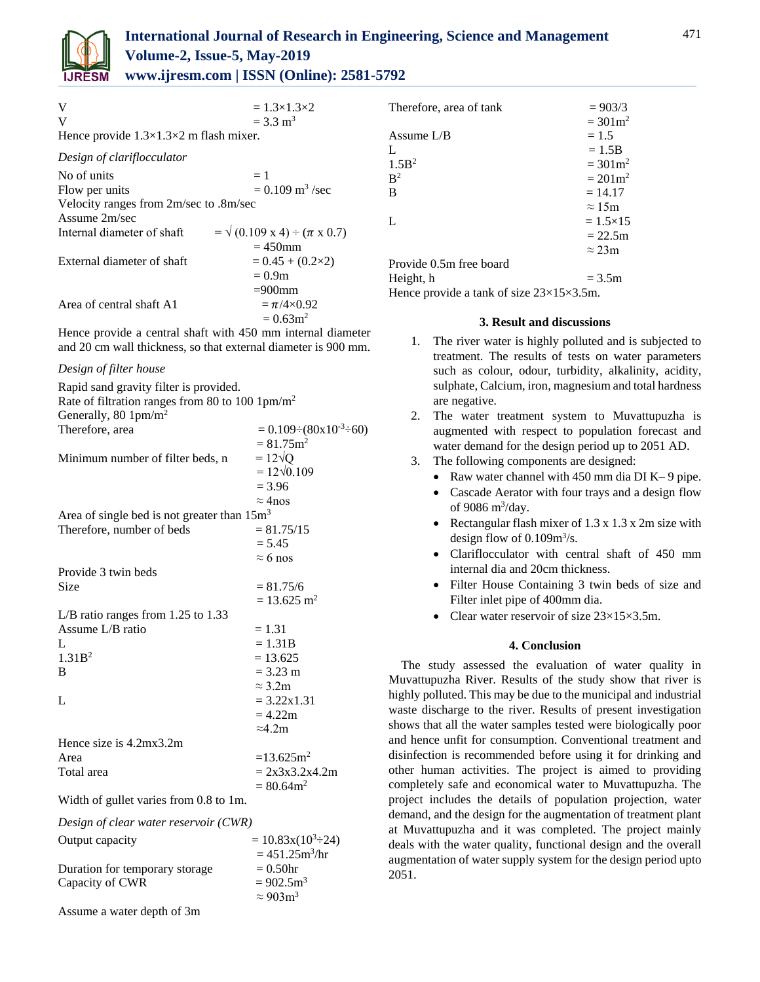

| $= \sqrt{(0.109 \text{ x } 4) \div (\pi \text{ x } 0.7)}$ |
|-----------------------------------------------------------|
|                                                           |
|                                                           |
|                                                           |
|                                                           |
|                                                           |
|                                                           |
|                                                           |

Hence provide a central shaft with 450 mm internal diameter and 20 cm wall thickness, so that external diameter is 900 mm.

### *Design of filter house*

| Rapid sand gravity filter is provided.                      |                                            |
|-------------------------------------------------------------|--------------------------------------------|
| Rate of filtration ranges from 80 to 100 1pm/m <sup>2</sup> |                                            |
| Generally, 80 $1pm/m^2$                                     |                                            |
| Therefore, area                                             | $= 0.109 \div (80 \times 10^{-3} \div 60)$ |
|                                                             | $= 81.75$ m <sup>2</sup>                   |
| Minimum number of filter beds, n                            | $=12\sqrt{Q}$                              |
|                                                             | $= 12\sqrt{0.109}$                         |
|                                                             | $= 3.96$                                   |
|                                                             | $\approx$ 4nos                             |
| Area of single bed is not greater than 15m <sup>3</sup>     |                                            |
| Therefore, number of beds                                   | $= 81.75/15$                               |
|                                                             | $= 5.45$                                   |
|                                                             | $\approx$ 6 nos                            |
| Provide 3 twin beds                                         |                                            |
| Size                                                        | $= 81.75/6$                                |
|                                                             | $= 13.625$ m <sup>2</sup>                  |
| L/B ratio ranges from $1.25$ to $1.33$                      |                                            |
| Assume L/B ratio                                            | $= 1.31$                                   |
| L                                                           | $= 1.31B$                                  |
| 1.31B <sup>2</sup>                                          | $= 13.625$                                 |
| B                                                           | $= 3.23 \text{ m}$                         |
|                                                             | $\approx$ 3.2m                             |
| L                                                           | $= 3.22x1.31$                              |
|                                                             | $= 4.22m$                                  |
|                                                             | $\approx 4.2$ m                            |
| Hence size is $4.2mx3.2m$                                   |                                            |
| Area                                                        | $=13.625$ m <sup>2</sup>                   |
| Total area                                                  | $= 2x3x3.2x4.2m$                           |
|                                                             | $= 80.64$ m <sup>2</sup>                   |
| Width of gullet varies from 0.8 to 1m.                      |                                            |

*Design of clear water reservoir (CWR)*

| Output capacity                | $= 10.83x(10^{3} \div 24)$      |
|--------------------------------|---------------------------------|
|                                | $= 451.25 \text{m}^3/\text{hr}$ |
| Duration for temporary storage | $= 0.50$ hr                     |
| Capacity of CWR                | $= 902.5 \text{m}^3$            |
|                                | $\approx 903 \text{m}^3$        |
|                                |                                 |

Assume a water depth of 3m

| Therefore, area of tank                               | $= 903/3$           |  |
|-------------------------------------------------------|---------------------|--|
|                                                       | $= 301 \text{m}^2$  |  |
| Assume $L/B$                                          | $= 1.5$             |  |
| L                                                     | $= 1.5B$            |  |
| 1.5B <sup>2</sup>                                     | $= 301 \text{m}^2$  |  |
| B <sup>2</sup>                                        | $= 201 \text{ m}^2$ |  |
| B                                                     | $= 14.17$           |  |
|                                                       | $\approx 15$ m      |  |
| L                                                     | $= 1.5 \times 15$   |  |
|                                                       | $= 22.5m$           |  |
|                                                       | $\approx$ 23m       |  |
| Provide 0.5m free board                               |                     |  |
| Height, h                                             | $= 3.5m$            |  |
| Hence provide a tank of size $23\times15\times3.5$ m. |                     |  |

**3. Result and discussions**

- 1. The river water is highly polluted and is subjected to treatment. The results of tests on water parameters such as colour, odour, turbidity, alkalinity, acidity, sulphate, Calcium, iron, magnesium and total hardness are negative.
- 2. The water treatment system to Muvattupuzha is augmented with respect to population forecast and water demand for the design period up to 2051 AD.
- 3. The following components are designed:
	- Raw water channel with 450 mm dia DI K– 9 pipe.
	- Cascade Aerator with four trays and a design flow of 9086 m<sup>3</sup>/day.
	- Rectangular flash mixer of  $1.3 \times 1.3 \times 2m$  size with design flow of  $0.109m^3/s$ .
	- Clariflocculator with central shaft of 450 mm internal dia and 20cm thickness.
	- Filter House Containing 3 twin beds of size and Filter inlet pipe of 400mm dia.
	- Clear water reservoir of size  $23\times15\times3.5$ m.

## **4. Conclusion**

The study assessed the evaluation of water quality in Muvattupuzha River. Results of the study show that river is highly polluted. This may be due to the municipal and industrial waste discharge to the river. Results of present investigation shows that all the water samples tested were biologically poor and hence unfit for consumption. Conventional treatment and disinfection is recommended before using it for drinking and other human activities. The project is aimed to providing completely safe and economical water to Muvattupuzha. The project includes the details of population projection, water demand, and the design for the augmentation of treatment plant at Muvattupuzha and it was completed. The project mainly deals with the water quality, functional design and the overall augmentation of water supply system for the design period upto 2051.